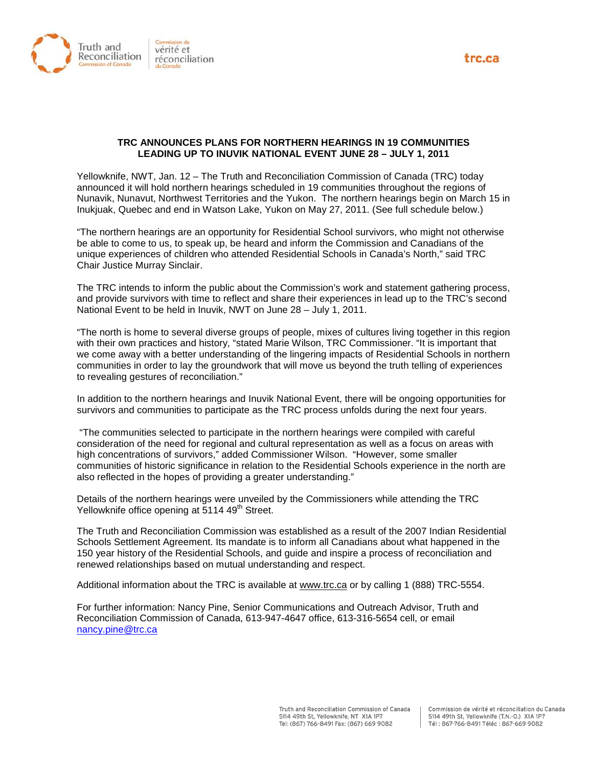



## **TRC ANNOUNCES PLANS FOR NORTHERN HEARINGS IN 19 COMMUNITIES LEADING UP TO INUVIK NATIONAL EVENT JUNE 28 – JULY 1, 2011**

Yellowknife, NWT, Jan. 12 – The Truth and Reconciliation Commission of Canada (TRC) today announced it will hold northern hearings scheduled in 19 communities throughout the regions of Nunavik, Nunavut, Northwest Territories and the Yukon. The northern hearings begin on March 15 in Inukjuak, Quebec and end in Watson Lake, Yukon on May 27, 2011. (See full schedule below.)

"The northern hearings are an opportunity for Residential School survivors, who might not otherwise be able to come to us, to speak up, be heard and inform the Commission and Canadians of the unique experiences of children who attended Residential Schools in Canada's North," said TRC Chair Justice Murray Sinclair.

The TRC intends to inform the public about the Commission's work and statement gathering process, and provide survivors with time to reflect and share their experiences in lead up to the TRC's second National Event to be held in Inuvik, NWT on June 28 – July 1, 2011.

"The north is home to several diverse groups of people, mixes of cultures living together in this region with their own practices and history, "stated Marie Wilson, TRC Commissioner. "It is important that we come away with a better understanding of the lingering impacts of Residential Schools in northern communities in order to lay the groundwork that will move us beyond the truth telling of experiences to revealing gestures of reconciliation."

In addition to the northern hearings and Inuvik National Event, there will be ongoing opportunities for survivors and communities to participate as the TRC process unfolds during the next four years.

 "The communities selected to participate in the northern hearings were compiled with careful consideration of the need for regional and cultural representation as well as a focus on areas with high concentrations of survivors," added Commissioner Wilson. "However, some smaller communities of historic significance in relation to the Residential Schools experience in the north are also reflected in the hopes of providing a greater understanding."

Details of the northern hearings were unveiled by the Commissioners while attending the TRC Yellowknife office opening at 5114 49<sup>th</sup> Street.

The Truth and Reconciliation Commission was established as a result of the 2007 Indian Residential Schools Settlement Agreement. Its mandate is to inform all Canadians about what happened in the 150 year history of the Residential Schools, and guide and inspire a process of reconciliation and renewed relationships based on mutual understanding and respect.

Additional information about the TRC is available at www.trc.ca or by calling 1 (888) TRC-5554.

For further information: Nancy Pine, Senior Communications and Outreach Advisor, Truth and Reconciliation Commission of Canada, 613-947-4647 office, 613-316-5654 cell, or email nancy.pine@trc.ca